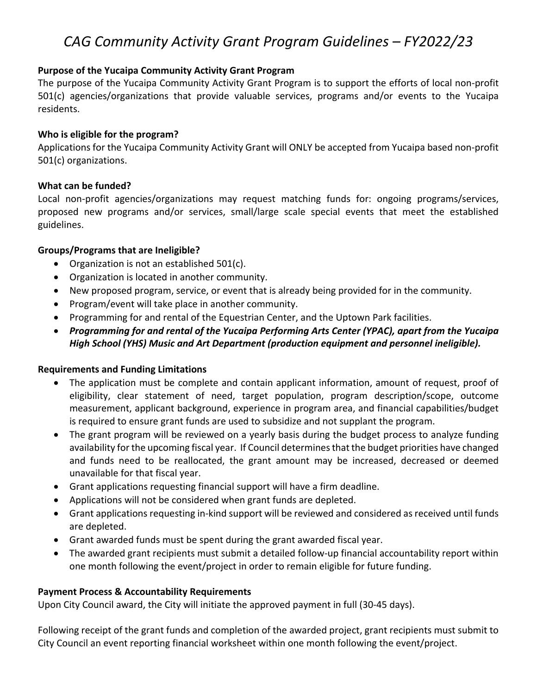# *CAG Community Activity Grant Program Guidelines – FY2022/23*

# **Purpose of the Yucaipa Community Activity Grant Program**

The purpose of the Yucaipa Community Activity Grant Program is to support the efforts of local non‐profit 501(c) agencies/organizations that provide valuable services, programs and/or events to the Yucaipa residents.

### **Who is eligible for the program?**

Applications for the Yucaipa Community Activity Grant will ONLY be accepted from Yucaipa based non‐profit 501(c) organizations.

## **What can be funded?**

Local non‐profit agencies/organizations may request matching funds for: ongoing programs/services, proposed new programs and/or services, small/large scale special events that meet the established guidelines.

#### **Groups/Programs that are Ineligible?**

- Organization is not an established 501(c).
- Organization is located in another community.
- New proposed program, service, or event that is already being provided for in the community.
- Program/event will take place in another community.
- Programming for and rental of the Equestrian Center, and the Uptown Park facilities.
- *Programming for and rental of the Yucaipa Performing Arts Center (YPAC), apart from the Yucaipa High School (YHS) Music and Art Department (production equipment and personnel ineligible).*

#### **Requirements and Funding Limitations**

- The application must be complete and contain applicant information, amount of request, proof of eligibility, clear statement of need, target population, program description/scope, outcome measurement, applicant background, experience in program area, and financial capabilities/budget is required to ensure grant funds are used to subsidize and not supplant the program.
- The grant program will be reviewed on a yearly basis during the budget process to analyze funding availability for the upcoming fiscal year. If Council determinesthat the budget priorities have changed and funds need to be reallocated, the grant amount may be increased, decreased or deemed unavailable for that fiscal year.
- Grant applications requesting financial support will have a firm deadline.
- Applications will not be considered when grant funds are depleted.
- Grant applications requesting in‐kind support will be reviewed and considered asreceived until funds are depleted.
- Grant awarded funds must be spent during the grant awarded fiscal year.
- The awarded grant recipients must submit a detailed follow-up financial accountability report within one month following the event/project in order to remain eligible for future funding.

## **Payment Process & Accountability Requirements**

Upon City Council award, the City will initiate the approved payment in full (30‐45 days).

Following receipt of the grant funds and completion of the awarded project, grant recipients must submit to City Council an event reporting financial worksheet within one month following the event/project.